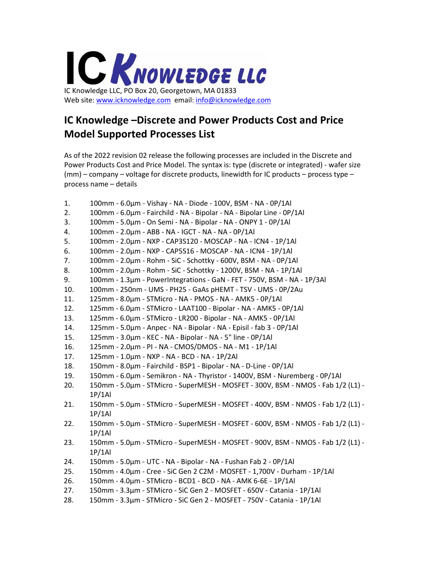

## **IC Knowledge –Discrete and Power Products Cost and Price Model Supported Processes List**

As of the 2022 revision 02 release the following processes are included in the Discrete and Power Products Cost and Price Model. The syntax is: type (discrete or integrated) - wafer size (mm) – company – voltage for discrete products, linewidth for IC products – process type – process name – details

- 1. 100mm 6.0µm Vishay NA Diode 100V, BSM NA 0P/1Al
- 2. 100mm 6.0µm Fairchild NA Bipolar NA Bipolar Line 0P/1Al
- 3. 100mm 5.0µm On Semi NA Bipolar NA ONPY 1 0P/1Al
- 4. 100mm 2.0µm ABB NA IGCT NA NA 0P/1Al
- 5. 100mm 2.0µm NXP CAP3S120 MOSCAP NA ICN4 1P/1Al
- 6. 100mm 2.0µm NXP CAP5S16 MOSCAP NA ICN4 1P/1Al
- 7. 100mm 2.0µm Rohm SiC Schottky 600V, BSM NA 0P/1Al
- 8. 100mm 2.0µm Rohm SiC Schottky 1200V, BSM NA 1P/1Al
- 9. 100mm 1.3µm PowerIntegrations GaN FET 750V, BSM NA 1P/3Al
- 10. 100mm 250nm UMS PH25 GaAs pHEMT TSV UMS 0P/2Au
- 11. 125mm 8.0µm STMicro NA PMOS NA AMK5 0P/1Al
- 12. 125mm 6.0µm STMicro LAAT100 Bipolar NA AMK5 0P/1Al
- 13. 125mm 6.0µm STMicro LR200 Bipolar NA AMK5 0P/1Al
- 14. 125mm 5.0µm Anpec NA Bipolar NA Episil fab 3 0P/1Al
- 15. 125mm 3.0µm KEC NA Bipolar NA 5" line 0P/1Al
- 16. 125mm 2.0µm PI NA CMOS/DMOS NA M1 1P/1Al
- 17. 125mm 1.0µm NXP NA BCD NA 1P/2Al
- 18. 150mm 8.0µm Fairchild BSP1 Bipolar NA D-Line 0P/1Al
- 19. 150mm 6.0µm Semikron NA Thyristor 1400V, BSM Nuremberg 0P/1Al
- 20. 150mm 5.0µm STMicro SuperMESH MOSFET 300V, BSM NMOS Fab 1/2 (L1) 1P/1Al
- 21. 150mm 5.0µm STMicro SuperMESH MOSFET 400V, BSM NMOS Fab 1/2 (L1) 1P/1Al
- 22. 150mm 5.0µm STMicro SuperMESH MOSFET 600V, BSM NMOS Fab 1/2 (L1) 1P/1Al
- 23. 150mm 5.0µm STMicro SuperMESH MOSFET 900V, BSM NMOS Fab 1/2 (L1) 1P/1Al
- 24. 150mm 5.0µm UTC NA Bipolar NA Fushan Fab 2 0P/1Al
- 25. 150mm 4.0µm Cree SiC Gen 2 C2M MOSFET 1,700V Durham 1P/1Al
- 26. 150mm 4.0µm STMicro BCD1 BCD NA AMK 6-6E 1P/1Al
- 27. 150mm 3.3µm STMicro SiC Gen 2 MOSFET 650V Catania 1P/1Al
- 28. 150mm 3.3µm STMicro SiC Gen 2 MOSFET 750V Catania 1P/1Al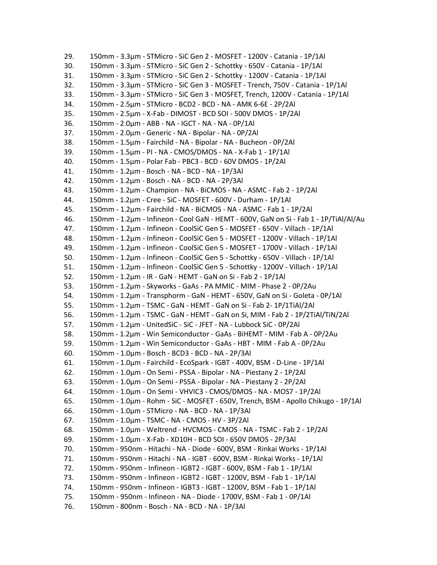29. 150mm - 3.3µm - STMicro - SiC Gen 2 - MOSFET - 1200V - Catania - 1P/1Al 30. 150mm - 3.3µm - STMicro - SiC Gen 2 - Schottky - 650V - Catania - 1P/1Al 31. 150mm - 3.3µm - STMicro - SiC Gen 2 - Schottky - 1200V - Catania - 1P/1Al 32. 150mm - 3.3µm - STMicro - SiC Gen 3 - MOSFET - Trench, 750V - Catania - 1P/1Al 33. 150mm - 3.3µm - STMicro - SiC Gen 3 - MOSFET, Trench, 1200V - Catania - 1P/1Al 34. 150mm - 2.5µm - STMicro - BCD2 - BCD - NA - AMK 6-6E - 2P/2Al 35. 150mm - 2.5µm - X-Fab - DIMOST - BCD SOI - 500V DMOS - 1P/2Al 36. 150mm - 2.0µm - ABB - NA - IGCT - NA - NA - 0P/1Al 37. 150mm - 2.0µm - Generic - NA - Bipolar - NA - 0P/2Al 38. 150mm - 1.5µm - Fairchild - NA - Bipolar - NA - Bucheon - 0P/2Al 39. 150mm - 1.5µm - PI - NA - CMOS/DMOS - NA - X-Fab 1 - 1P/1Al 40. 150mm - 1.5µm - Polar Fab - PBC3 - BCD - 60V DMOS - 1P/2Al 41. 150mm - 1.2µm - Bosch - NA - BCD - NA - 1P/3Al 42. 150mm - 1.2µm - Bosch - NA - BCD - NA - 2P/3Al 43. 150mm - 1.2µm - Champion - NA - BiCMOS - NA - ASMC - Fab 2 - 1P/2Al 44. 150mm - 1.2µm - Cree - SiC - MOSFET - 600V - Durham - 1P/1Al 45. 150mm - 1.2µm - Fairchild - NA - BiCMOS - NA - ASMC - Fab 1 - 1P/2Al 46. 150mm - 1.2µm - Infineon - Cool GaN - HEMT - 600V, GaN on Si - Fab 1 - 1P/TiAl/Al/Au 47. 150mm - 1.2µm - Infineon - CoolSiC Gen 5 - MOSFET - 650V - Villach - 1P/1Al 48. 150mm - 1.2µm - Infineon - CoolSiC Gen 5 - MOSFET - 1200V - Villach - 1P/1Al 49. 150mm - 1.2µm - Infineon - CoolSiC Gen 5 - MOSFET - 1700V - Villach - 1P/1Al 50. 150mm - 1.2µm - Infineon - CoolSiC Gen 5 - Schottky - 650V - Villach - 1P/1Al 51. 150mm - 1.2µm - Infineon - CoolSiC Gen 5 - Schottky - 1200V - Villach - 1P/1Al 52. 150mm - 1.2µm - IR - GaN - HEMT - GaN on Si - Fab 2 - 1P/1Al 53. 150mm - 1.2µm - Skyworks - GaAs - PA MMIC - MIM - Phase 2 - 0P/2Au 54. 150mm - 1.2µm - Transphorm - GaN - HEMT - 650V, GaN on Si - Goleta - 0P/1Al 55. 150mm - 1.2µm - TSMC - GaN - HEMT - GaN on Si - Fab 2- 1P/1TiAl/2Al 56. 150mm - 1.2µm - TSMC - GaN - HEMT - GaN on Si, MIM - Fab 2 - 1P/2TiAl/TiN/2Al 57. 150mm - 1.2µm - UnitedSiC - SiC - JFET - NA - Lubbock SiC - 0P/2Al 58. 150mm - 1.2µm - Win Semiconductor - GaAs - BiHEMT - MIM - Fab A - 0P/2Au 59. 150mm - 1.2µm - Win Semiconductor - GaAs - HBT - MIM - Fab A - 0P/2Au 60. 150mm - 1.0µm - Bosch - BCD3 - BCD - NA - 2P/3Al 61. 150mm - 1.0µm - Fairchild - EcoSpark - IGBT - 400V, BSM - D-Line - 1P/1Al 62. 150mm - 1.0µm - On Semi - PS5A - Bipolar - NA - Piestany 2 - 1P/2Al 63. 150mm - 1.0µm - On Semi - PS5A - Bipolar - NA - Piestany 2 - 2P/2Al 64. 150mm - 1.0µm - On Semi - VHVIC3 - CMOS/DMOS - NA - MOS7 - 1P/2Al 65. 150mm - 1.0µm - Rohm - SiC - MOSFET - 650V, Trench, BSM - Apollo Chikugo - 1P/1Al 66. 150mm - 1.0µm - STMicro - NA - BCD - NA - 1P/3Al 67. 150mm - 1.0µm - TSMC - NA - CMOS - HV - 3P/2Al 68. 150mm - 1.0µm - Weltrend - HVCMOS - CMOS - NA - TSMC - Fab 2 - 1P/2Al 69. 150mm - 1.0µm - X-Fab - XD10H - BCD SOI - 650V DMOS - 2P/3Al 70. 150mm - 950nm - Hitachi - NA - Diode - 600V, BSM - Rinkai Works - 1P/1Al 71. 150mm - 950nm - Hitachi - NA - IGBT - 600V, BSM - Rinkai Works - 1P/1Al 72. 150mm - 950nm - Infineon - IGBT2 - IGBT - 600V, BSM - Fab 1 - 1P/1Al 73. 150mm - 950nm - Infineon - IGBT2 - IGBT - 1200V, BSM - Fab 1 - 1P/1Al 74. 150mm - 950nm - Infineon - IGBT3 - IGBT - 1200V, BSM - Fab 1 - 1P/1Al 75. 150mm - 950nm - Infineon - NA - Diode - 1700V, BSM - Fab 1 - 0P/1Al 76. 150mm - 800nm - Bosch - NA - BCD - NA - 1P/3Al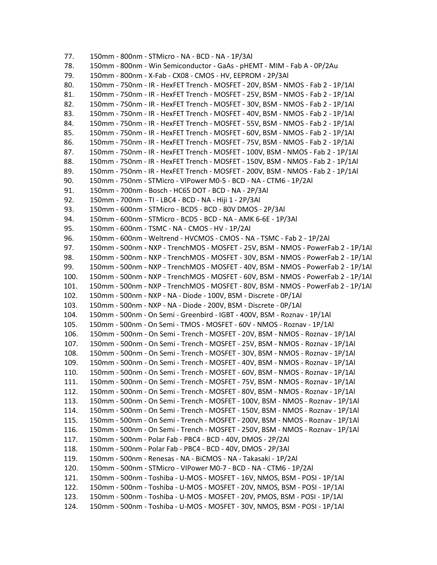77. 150mm - 800nm - STMicro - NA - BCD - NA - 1P/3Al 78. 150mm - 800nm - Win Semiconductor - GaAs - pHEMT - MIM - Fab A - 0P/2Au 79. 150mm - 800nm - X-Fab - CX08 - CMOS - HV, EEPROM - 2P/3Al 80. 150mm - 750nm - IR - HexFET Trench - MOSFET - 20V, BSM - NMOS - Fab 2 - 1P/1Al 81. 150mm - 750nm - IR - HexFET Trench - MOSFET - 25V, BSM - NMOS - Fab 2 - 1P/1Al 82. 150mm - 750nm - IR - HexFET Trench - MOSFET - 30V, BSM - NMOS - Fab 2 - 1P/1Al 83. 150mm - 750nm - IR - HexFET Trench - MOSFET - 40V, BSM - NMOS - Fab 2 - 1P/1Al 84. 150mm - 750nm - IR - HexFET Trench - MOSFET - 55V, BSM - NMOS - Fab 2 - 1P/1Al 85. 150mm - 750nm - IR - HexFET Trench - MOSFET - 60V, BSM - NMOS - Fab 2 - 1P/1Al 86. 150mm - 750nm - IR - HexFET Trench - MOSFET - 75V, BSM - NMOS - Fab 2 - 1P/1Al 87. 150mm - 750nm - IR - HexFET Trench - MOSFET - 100V, BSM - NMOS - Fab 2 - 1P/1Al 88. 150mm - 750nm - IR - HexFET Trench - MOSFET - 150V, BSM - NMOS - Fab 2 - 1P/1Al 89. 150mm - 750nm - IR - HexFET Trench - MOSFET - 200V, BSM - NMOS - Fab 2 - 1P/1Al 90. 150mm - 750nm - STMicro - VIPower M0-5 - BCD - NA - CTM6 - 1P/2Al 91. 150mm - 700nm - Bosch - HC65 DOT - BCD - NA - 2P/3Al 92. 150mm - 700nm - TI - LBC4 - BCD - NA - Hiji 1 - 2P/3Al 93. 150mm - 600nm - STMicro - BCD5 - BCD - 80V DMOS - 2P/3Al 94. 150mm - 600nm - STMicro - BCD5 - BCD - NA - AMK 6-6E - 1P/3Al 95. 150mm - 600nm - TSMC - NA - CMOS - HV - 1P/2Al 96. 150mm - 600nm - Weltrend - HVCMOS - CMOS - NA - TSMC - Fab 2 - 1P/2Al 97. 150mm - 500nm - NXP - TrenchMOS - MOSFET - 25V, BSM - NMOS - PowerFab 2 - 1P/1Al 98. 150mm - 500nm - NXP - TrenchMOS - MOSFET - 30V, BSM - NMOS - PowerFab 2 - 1P/1Al 99. 150mm - 500nm - NXP - TrenchMOS - MOSFET - 40V, BSM - NMOS - PowerFab 2 - 1P/1Al 100. 150mm - 500nm - NXP - TrenchMOS - MOSFET - 60V, BSM - NMOS - PowerFab 2 - 1P/1Al 101. 150mm - 500nm - NXP - TrenchMOS - MOSFET - 80V, BSM - NMOS - PowerFab 2 - 1P/1Al 102. 150mm - 500nm - NXP - NA - Diode - 100V, BSM - Discrete - 0P/1Al 103. 150mm - 500nm - NXP - NA - Diode - 200V, BSM - Discrete - 0P/1Al 104. 150mm - 500nm - On Semi - Greenbird - IGBT - 400V, BSM - Roznav - 1P/1Al 105. 150mm - 500nm - On Semi - TMOS - MOSFET - 60V - NMOS - Roznav - 1P/1Al 106. 150mm - 500nm - On Semi - Trench - MOSFET - 20V, BSM - NMOS - Roznav - 1P/1Al 107. 150mm - 500nm - On Semi - Trench - MOSFET - 25V, BSM - NMOS - Roznav - 1P/1Al 108. 150mm - 500nm - On Semi - Trench - MOSFET - 30V, BSM - NMOS - Roznav - 1P/1Al 109. 150mm - 500nm - On Semi - Trench - MOSFET - 40V, BSM - NMOS - Roznav - 1P/1Al 110. 150mm - 500nm - On Semi - Trench - MOSFET - 60V, BSM - NMOS - Roznav - 1P/1Al 111. 150mm - 500nm - On Semi - Trench - MOSFET - 75V, BSM - NMOS - Roznav - 1P/1Al 112. 150mm - 500nm - On Semi - Trench - MOSFET - 80V, BSM - NMOS - Roznav - 1P/1Al 113. 150mm - 500nm - On Semi - Trench - MOSFET - 100V, BSM - NMOS - Roznav - 1P/1Al 114. 150mm - 500nm - On Semi - Trench - MOSFET - 150V, BSM - NMOS - Roznav - 1P/1Al 115. 150mm - 500nm - On Semi - Trench - MOSFET - 200V, BSM - NMOS - Roznav - 1P/1Al 116. 150mm - 500nm - On Semi - Trench - MOSFET - 250V, BSM - NMOS - Roznav - 1P/1Al 117. 150mm - 500nm - Polar Fab - PBC4 - BCD - 40V, DMOS - 2P/2Al 118. 150mm - 500nm - Polar Fab - PBC4 - BCD - 40V, DMOS - 2P/3Al 119. 150mm - 500nm - Renesas - NA - BiCMOS - NA - Takasaki - 1P/2Al 120. 150mm - 500nm - STMicro - VIPower M0-7 - BCD - NA - CTM6 - 1P/2Al 121. 150mm - 500nm - Toshiba - U-MOS - MOSFET - 16V, NMOS, BSM - POSI - 1P/1Al 122. 150mm - 500nm - Toshiba - U-MOS - MOSFET - 20V, NMOS, BSM - POSI - 1P/1Al 123. 150mm - 500nm - Toshiba - U-MOS - MOSFET - 20V, PMOS, BSM - POSI - 1P/1Al 124. 150mm - 500nm - Toshiba - U-MOS - MOSFET - 30V, NMOS, BSM - POSI - 1P/1Al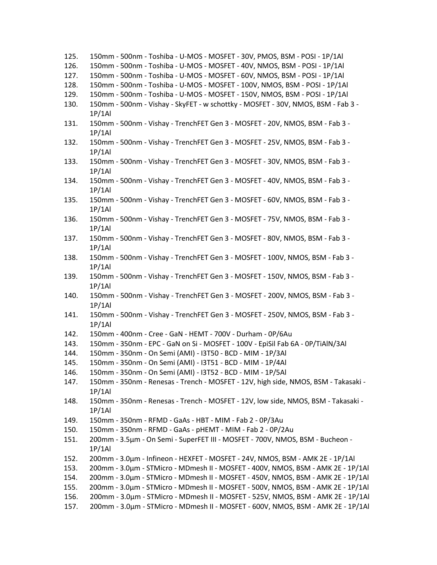- 125. 150mm 500nm Toshiba U-MOS MOSFET 30V, PMOS, BSM POSI 1P/1Al
- 126. 150mm 500nm Toshiba U-MOS MOSFET 40V, NMOS, BSM POSI 1P/1Al
- 127. 150mm 500nm Toshiba U-MOS MOSFET 60V, NMOS, BSM POSI 1P/1Al
- 128. 150mm 500nm Toshiba U-MOS MOSFET 100V, NMOS, BSM POSI 1P/1Al
- 129. 150mm 500nm Toshiba U-MOS MOSFET 150V, NMOS, BSM POSI 1P/1Al
- 130. 150mm 500nm Vishay SkyFET w schottky MOSFET 30V, NMOS, BSM Fab 3 1P/1Al
- 131. 150mm 500nm Vishay TrenchFET Gen 3 MOSFET 20V, NMOS, BSM Fab 3 1P/1Al
- 132. 150mm 500nm Vishay TrenchFET Gen 3 MOSFET 25V, NMOS, BSM Fab 3 1P/1Al
- 133. 150mm 500nm Vishay TrenchFET Gen 3 MOSFET 30V, NMOS, BSM Fab 3 1P/1Al
- 134. 150mm 500nm Vishay TrenchFET Gen 3 MOSFET 40V, NMOS, BSM Fab 3 1P/1Al
- 135. 150mm 500nm Vishay TrenchFET Gen 3 MOSFET 60V, NMOS, BSM Fab 3 1P/1Al
- 136. 150mm 500nm Vishay TrenchFET Gen 3 MOSFET 75V, NMOS, BSM Fab 3 1P/1Al
- 137. 150mm 500nm Vishay TrenchFET Gen 3 MOSFET 80V, NMOS, BSM Fab 3 1P/1Al
- 138. 150mm 500nm Vishay TrenchFET Gen 3 MOSFET 100V, NMOS, BSM Fab 3 1P/1Al
- 139. 150mm 500nm Vishay TrenchFET Gen 3 MOSFET 150V, NMOS, BSM Fab 3 1P/1Al
- 140. 150mm 500nm Vishay TrenchFET Gen 3 MOSFET 200V, NMOS, BSM Fab 3 1P/1Al
- 141. 150mm 500nm Vishay TrenchFET Gen 3 MOSFET 250V, NMOS, BSM Fab 3 1P/1Al
- 142. 150mm 400nm Cree GaN HEMT 700V Durham 0P/6Au
- 143. 150mm 350nm EPC GaN on Si MOSFET 100V EpiSil Fab 6A 0P/TiAlN/3Al
- 144. 150mm 350nm On Semi (AMI) I3T50 BCD MIM 1P/3Al
- 145. 150mm 350nm On Semi (AMI) I3T51 BCD MIM 1P/4Al
- 146. 150mm 350nm On Semi (AMI) I3T52 BCD MIM 1P/5Al
- 147. 150mm 350nm Renesas Trench MOSFET 12V, high side, NMOS, BSM Takasaki 1P/1Al
- 148. 150mm 350nm Renesas Trench MOSFET 12V, low side, NMOS, BSM Takasaki 1P/1Al
- 149. 150mm 350nm RFMD GaAs HBT MIM Fab 2 0P/3Au
- 150. 150mm 350nm RFMD GaAs pHEMT MIM Fab 2 0P/2Au
- 151. 200mm 3.5µm On Semi SuperFET III MOSFET 700V, NMOS, BSM Bucheon 1P/1Al
- 152. 200mm 3.0µm Infineon HEXFET MOSFET 24V, NMOS, BSM AMK 2E 1P/1Al
- 153. 200mm 3.0µm STMicro MDmesh II MOSFET 400V, NMOS, BSM AMK 2E 1P/1Al
- 154. 200mm 3.0µm STMicro MDmesh II MOSFET 450V, NMOS, BSM AMK 2E 1P/1Al
- 155. 200mm 3.0µm STMicro MDmesh II MOSFET 500V, NMOS, BSM AMK 2E 1P/1Al
- 156. 200mm 3.0µm STMicro MDmesh II MOSFET 525V, NMOS, BSM AMK 2E 1P/1Al
- 157. 200mm 3.0µm STMicro MDmesh II MOSFET 600V, NMOS, BSM AMK 2E 1P/1Al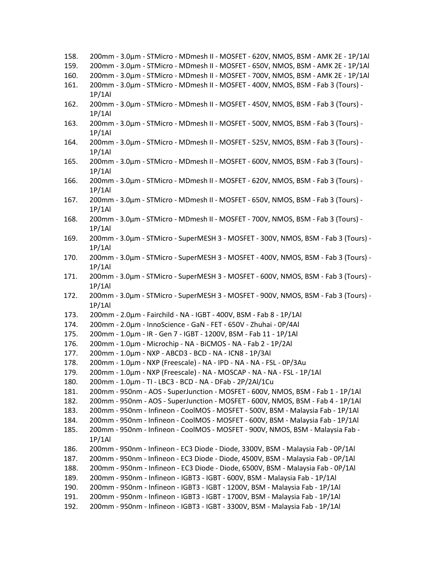| 159. | 200mm - 3.0um - STMicro - MDmesh II - MOSFET - 650V, NMOS, BSM - AMK 2E - 1P/1Al                       |
|------|--------------------------------------------------------------------------------------------------------|
| 160. | 200mm - 3.0μm - STMicro - MDmesh II - MOSFET - 700V, NMOS, BSM - AMK 2E - 1P/1Al                       |
| 161. | 200mm - 3.0um - STMicro - MDmesh II - MOSFET - 400V, NMOS, BSM - Fab 3 (Tours) -<br>1P/1Al             |
| 162. | 200mm - 3.0um - STMicro - MDmesh II - MOSFET - 450V, NMOS, BSM - Fab 3 (Tours) -<br>1P/1Al             |
| 163. | 200mm - 3.0um - STMicro - MDmesh II - MOSFET - 500V, NMOS, BSM - Fab 3 (Tours) -                       |
| 164. | 1P/1Al<br>200mm - 3.0µm - STMicro - MDmesh II - MOSFET - 525V, NMOS, BSM - Fab 3 (Tours) -<br>1P/1Al   |
| 165. | 200mm - 3.0µm - STMicro - MDmesh II - MOSFET - 600V, NMOS, BSM - Fab 3 (Tours) -<br>1P/1Al             |
| 166. | 200mm - 3.0µm - STMicro - MDmesh II - MOSFET - 620V, NMOS, BSM - Fab 3 (Tours) -<br>1P/1Al             |
| 167. | 200mm - 3.0um - STMicro - MDmesh II - MOSFET - 650V, NMOS, BSM - Fab 3 (Tours) -<br>1P/1Al             |
| 168. | 200mm - 3.0µm - STMicro - MDmesh II - MOSFET - 700V, NMOS, BSM - Fab 3 (Tours) -                       |
| 169. | 1P/1Al<br>200mm - 3.0um - STMicro - SuperMESH 3 - MOSFET - 300V, NMOS, BSM - Fab 3 (Tours) -<br>1P/1Al |
| 170. | 200mm - 3.0μm - STMicro - SuperMESH 3 - MOSFET - 400V, NMOS, BSM - Fab 3 (Tours) -<br>1P/1Al           |
| 171. | 200mm - 3.0um - STMicro - SuperMESH 3 - MOSFET - 600V, NMOS, BSM - Fab 3 (Tours) -<br>1P/1Al           |
| 172. | 200mm - 3.0μm - STMicro - SuperMESH 3 - MOSFET - 900V, NMOS, BSM - Fab 3 (Tours) -<br>1P/1Al           |
| 173. | 200mm - 2.0μm - Fairchild - NA - IGBT - 400V, BSM - Fab 8 - 1P/1Al                                     |
| 174. | 200mm - 2.0µm - InnoScience - GaN - FET - 650V - Zhuhai - 0P/4Al                                       |
| 175. | 200mm - 1.0μm - IR - Gen 7 - IGBT - 1200V, BSM - Fab 11 - 1P/1Al                                       |
| 176. | 200mm - 1.0µm - Microchip - NA - BiCMOS - NA - Fab 2 - 1P/2Al                                          |
| 177. | 200mm - 1.0μm - NXP - ABCD3 - BCD - NA - ICN8 - 1P/3Al                                                 |
| 178. | 200mm - 1.0µm - NXP (Freescale) - NA - IPD - NA - NA - FSL - 0P/3Au                                    |
| 179. | 200mm - 1.0µm - NXP (Freescale) - NA - MOSCAP - NA - NA - FSL - 1P/1Al                                 |
| 180. | 200mm - 1.0μm - TI - LBC3 - BCD - NA - DFab - 2P/2Al/1Cu                                               |
| 181. | 200mm - 950nm - AOS - SuperJunction - MOSFET - 600V, NMOS, BSM - Fab 1 - 1P/1Al                        |
| 182. | 200mm - 950nm - AOS - SuperJunction - MOSFET - 600V, NMOS, BSM - Fab 4 - 1P/1Al                        |
| 183. | 200mm - 950nm - Infineon - CoolMOS - MOSFET - 500V, BSM - Malaysia Fab - 1P/1Al                        |
| 184. | 200mm - 950nm - Infineon - CoolMOS - MOSFET - 600V, BSM - Malaysia Fab - 1P/1Al                        |
| 185. | 200mm - 950nm - Infineon - CoolMOS - MOSFET - 900V, NMOS, BSM - Malaysia Fab -<br>1P/1Al               |
| 186. | 200mm - 950nm - Infineon - EC3 Diode - Diode, 3300V, BSM - Malaysia Fab - 0P/1Al                       |
| 187. | 200mm - 950nm - Infineon - EC3 Diode - Diode, 4500V, BSM - Malaysia Fab - 0P/1Al                       |
| 188. | 200mm - 950nm - Infineon - EC3 Diode - Diode, 6500V, BSM - Malaysia Fab - 0P/1Al                       |
| 189. | 200mm - 950nm - Infineon - IGBT3 - IGBT - 600V, BSM - Malaysia Fab - 1P/1Al                            |
| 190. | 200mm - 950nm - Infineon - IGBT3 - IGBT - 1200V, BSM - Malaysia Fab - 1P/1Al                           |
| 191. | 200mm - 950nm - Infineon - IGBT3 - IGBT - 1700V, BSM - Malaysia Fab - 1P/1Al                           |

158. 200mm - 3.0µm - STMicro - MDmesh II - MOSFET - 620V, NMOS, BSM - AMK 2E - 1P/1Al

192. 200mm - 950nm - Infineon - IGBT3 - IGBT - 3300V, BSM - Malaysia Fab - 1P/1Al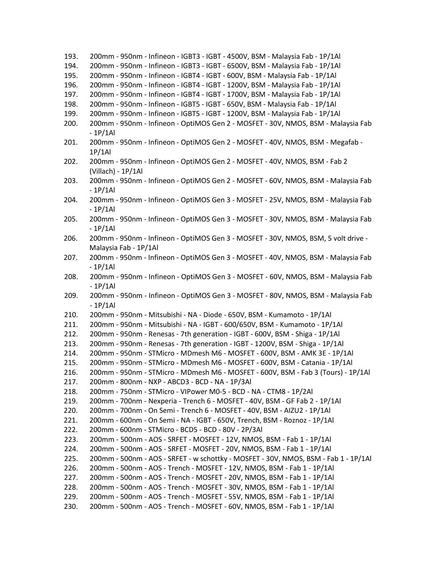| 193. | 200mm - 950nm - Infineon - IGBT3 - IGBT - 4500V, BSM - Malaysia Fab - 1P/1Al        |
|------|-------------------------------------------------------------------------------------|
| 194. | 200mm - 950nm - Infineon - IGBT3 - IGBT - 6500V, BSM - Malaysia Fab - 1P/1Al        |
| 195. | 200mm - 950nm - Infineon - IGBT4 - IGBT - 600V, BSM - Malaysia Fab - 1P/1Al         |
| 196. | 200mm - 950nm - Infineon - IGBT4 - IGBT - 1200V, BSM - Malaysia Fab - 1P/1Al        |
| 197. | 200mm - 950nm - Infineon - IGBT4 - IGBT - 1700V, BSM - Malaysia Fab - 1P/1Al        |
| 198. | 200mm - 950nm - Infineon - IGBT5 - IGBT - 650V, BSM - Malaysia Fab - 1P/1Al         |
| 199. | 200mm - 950nm - Infineon - IGBT5 - IGBT - 1200V, BSM - Malaysia Fab - 1P/1Al        |
| 200. | 200mm - 950nm - Infineon - OptiMOS Gen 2 - MOSFET - 30V, NMOS, BSM - Malaysia Fab   |
|      | $-1P/1Al$                                                                           |
| 201. | 200mm - 950nm - Infineon - OptiMOS Gen 2 - MOSFET - 40V, NMOS, BSM - Megafab -      |
|      | 1P/1Al                                                                              |
| 202. | 200mm - 950nm - Infineon - OptiMOS Gen 2 - MOSFET - 40V, NMOS, BSM - Fab 2          |
|      | (Villach) - 1P/1Al                                                                  |
|      | 200mm - 950nm - Infineon - OptiMOS Gen 2 - MOSFET - 60V, NMOS, BSM - Malaysia Fab   |
| 203. |                                                                                     |
|      | $-1P/1Al$                                                                           |
| 204. | 200mm - 950nm - Infineon - OptiMOS Gen 3 - MOSFET - 25V, NMOS, BSM - Malaysia Fab   |
|      | $-1P/1Al$                                                                           |
| 205. | 200mm - 950nm - Infineon - OptiMOS Gen 3 - MOSFET - 30V, NMOS, BSM - Malaysia Fab   |
|      | $-1P/1Al$                                                                           |
| 206. | 200mm - 950nm - Infineon - OptiMOS Gen 3 - MOSFET - 30V, NMOS, BSM, 5 volt drive -  |
|      | Malaysia Fab - 1P/1Al                                                               |
| 207. | 200mm - 950nm - Infineon - OptiMOS Gen 3 - MOSFET - 40V, NMOS, BSM - Malaysia Fab   |
|      | - 1P/1Al                                                                            |
| 208. | 200mm - 950nm - Infineon - OptiMOS Gen 3 - MOSFET - 60V, NMOS, BSM - Malaysia Fab   |
|      | $-1P/1Al$                                                                           |
| 209. | 200mm - 950nm - Infineon - OptiMOS Gen 3 - MOSFET - 80V, NMOS, BSM - Malaysia Fab   |
|      | $-1P/1Al$                                                                           |
| 210. | 200mm - 950nm - Mitsubishi - NA - Diode - 650V, BSM - Kumamoto - 1P/1Al             |
| 211. | 200mm - 950nm - Mitsubishi - NA - IGBT - 600/650V, BSM - Kumamoto - 1P/1Al          |
| 212. | 200mm - 950nm - Renesas - 7th generation - IGBT - 600V, BSM - Shiga - 1P/1Al        |
| 213. | 200mm - 950nm - Renesas - 7th generation - IGBT - 1200V, BSM - Shiga - 1P/1Al       |
| 214. | 200mm - 950nm - STMicro - MDmesh M6 - MOSFET - 600V, BSM - AMK 3E - 1P/1Al          |
| 215. | 200mm - 950nm - STMicro - MDmesh M6 - MOSFET - 600V, BSM - Catania - 1P/1Al         |
| 216. | 200mm - 950nm - STMicro - MDmesh M6 - MOSFET - 600V, BSM - Fab 3 (Tours) - 1P/1Al   |
| 217. | 200mm - 800nm - NXP - ABCD3 - BCD - NA - 1P/3Al                                     |
| 218. | 200mm - 750nm - STMicro - VIPower M0-5 - BCD - NA - CTM8 - 1P/2Al                   |
| 219. | 200mm - 700nm - Nexperia - Trench 6 - MOSFET - 40V, BSM - GF Fab 2 - 1P/1Al         |
| 220. | 200mm - 700nm - On Semi - Trench 6 - MOSFET - 40V, BSM - AIZU2 - 1P/1AI             |
| 221. | 200mm - 600nm - On Semi - NA - IGBT - 650V, Trench, BSM - Roznoz - 1P/1Al           |
| 222. | 200mm - 600nm - STMicro - BCD5 - BCD - 80V - 2P/3Al                                 |
| 223. | 200mm - 500nm - AOS - SRFET - MOSFET - 12V, NMOS, BSM - Fab 1 - 1P/1Al              |
| 224. | 200mm - 500nm - AOS - SRFET - MOSFET - 20V, NMOS, BSM - Fab 1 - 1P/1Al              |
| 225. | 200mm - 500nm - AOS - SRFET - w schottky - MOSFET - 30V, NMOS, BSM - Fab 1 - 1P/1Al |
| 226. | 200mm - 500nm - AOS - Trench - MOSFET - 12V, NMOS, BSM - Fab 1 - 1P/1Al             |
| 227. | 200mm - 500nm - AOS - Trench - MOSFET - 20V, NMOS, BSM - Fab 1 - 1P/1Al             |
| 228. | 200mm - 500nm - AOS - Trench - MOSFET - 30V, NMOS, BSM - Fab 1 - 1P/1Al             |
| 229. | 200mm - 500nm - AOS - Trench - MOSFET - 55V, NMOS, BSM - Fab 1 - 1P/1Al             |
|      |                                                                                     |
| 230. | 200mm - 500nm - AOS - Trench - MOSFET - 60V, NMOS, BSM - Fab 1 - 1P/1Al             |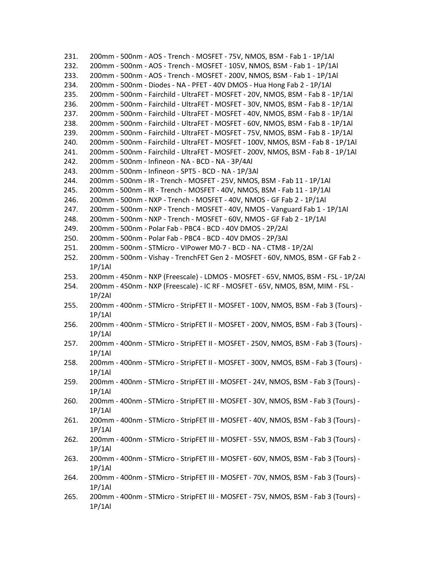231. 200mm - 500nm - AOS - Trench - MOSFET - 75V, NMOS, BSM - Fab 1 - 1P/1Al 232. 200mm - 500nm - AOS - Trench - MOSFET - 105V, NMOS, BSM - Fab 1 - 1P/1Al 233. 200mm - 500nm - AOS - Trench - MOSFET - 200V, NMOS, BSM - Fab 1 - 1P/1Al 234. 200mm - 500nm - Diodes - NA - PFET - 40V DMOS - Hua Hong Fab 2 - 1P/1Al 235. 200mm - 500nm - Fairchild - UltraFET - MOSFET - 20V, NMOS, BSM - Fab 8 - 1P/1Al 236. 200mm - 500nm - Fairchild - UltraFET - MOSFET - 30V, NMOS, BSM - Fab 8 - 1P/1Al 237. 200mm - 500nm - Fairchild - UltraFET - MOSFET - 40V, NMOS, BSM - Fab 8 - 1P/1Al 238. 200mm - 500nm - Fairchild - UltraFET - MOSFET - 60V, NMOS, BSM - Fab 8 - 1P/1Al 239. 200mm - 500nm - Fairchild - UltraFET - MOSFET - 75V, NMOS, BSM - Fab 8 - 1P/1Al 240. 200mm - 500nm - Fairchild - UltraFET - MOSFET - 100V, NMOS, BSM - Fab 8 - 1P/1Al 241. 200mm - 500nm - Fairchild - UltraFET - MOSFET - 200V, NMOS, BSM - Fab 8 - 1P/1Al 242. 200mm - 500nm - Infineon - NA - BCD - NA - 3P/4Al 243. 200mm - 500nm - Infineon - SPT5 - BCD - NA - 1P/3Al 244. 200mm - 500nm - IR - Trench - MOSFET - 25V, NMOS, BSM - Fab 11 - 1P/1Al 245. 200mm - 500nm - IR - Trench - MOSFET - 40V, NMOS, BSM - Fab 11 - 1P/1Al 246. 200mm - 500nm - NXP - Trench - MOSFET - 40V, NMOS - GF Fab 2 - 1P/1Al 247. 200mm - 500nm - NXP - Trench - MOSFET - 40V, NMOS - Vanguard Fab 1 - 1P/1Al 248. 200mm - 500nm - NXP - Trench - MOSFET - 60V, NMOS - GF Fab 2 - 1P/1Al 249. 200mm - 500nm - Polar Fab - PBC4 - BCD - 40V DMOS - 2P/2Al 250. 200mm - 500nm - Polar Fab - PBC4 - BCD - 40V DMOS - 2P/3Al 251. 200mm - 500nm - STMicro - VIPower M0-7 - BCD - NA - CTM8 - 1P/2Al 252. 200mm - 500nm - Vishay - TrenchFET Gen 2 - MOSFET - 60V, NMOS, BSM - GF Fab 2 - 1P/1Al 253. 200mm - 450nm - NXP (Freescale) - LDMOS - MOSFET - 65V, NMOS, BSM - FSL - 1P/2Al 254. 200mm - 450nm - NXP (Freescale) - IC RF - MOSFET - 65V, NMOS, BSM, MIM - FSL - 1P/2Al 255. 200mm - 400nm - STMicro - StripFET II - MOSFET - 100V, NMOS, BSM - Fab 3 (Tours) - 1P/1Al 256. 200mm - 400nm - STMicro - StripFET II - MOSFET - 200V, NMOS, BSM - Fab 3 (Tours) - 1P/1Al 257. 200mm - 400nm - STMicro - StripFET II - MOSFET - 250V, NMOS, BSM - Fab 3 (Tours) - 1P/1Al 258. 200mm - 400nm - STMicro - StripFET II - MOSFET - 300V, NMOS, BSM - Fab 3 (Tours) - 1P/1Al 259. 200mm - 400nm - STMicro - StripFET III - MOSFET - 24V, NMOS, BSM - Fab 3 (Tours) - 1P/1Al 260. 200mm - 400nm - STMicro - StripFET III - MOSFET - 30V, NMOS, BSM - Fab 3 (Tours) - 1P/1Al 261. 200mm - 400nm - STMicro - StripFET III - MOSFET - 40V, NMOS, BSM - Fab 3 (Tours) - 1P/1Al 262. 200mm - 400nm - STMicro - StripFET III - MOSFET - 55V, NMOS, BSM - Fab 3 (Tours) - 1P/1Al 263. 200mm - 400nm - STMicro - StripFET III - MOSFET - 60V, NMOS, BSM - Fab 3 (Tours) - 1P/1Al 264. 200mm - 400nm - STMicro - StripFET III - MOSFET - 70V, NMOS, BSM - Fab 3 (Tours) - 1P/1Al 265. 200mm - 400nm - STMicro - StripFET III - MOSFET - 75V, NMOS, BSM - Fab 3 (Tours) -

1P/1Al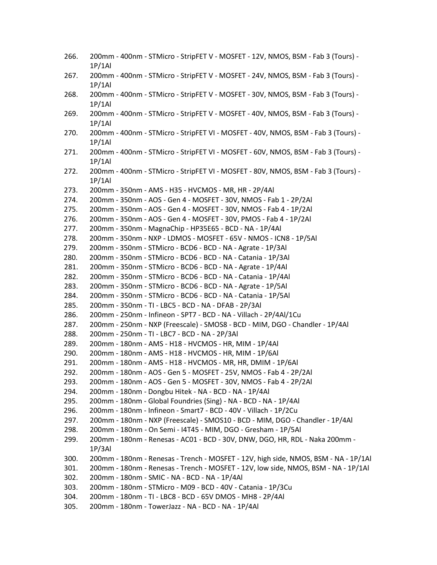| 266. | 200mm - 400nm - STMicro - StripFET V - MOSFET - 12V, NMOS, BSM - Fab 3 (Tours) -<br>1P/1Al  |
|------|---------------------------------------------------------------------------------------------|
| 267. | 200mm - 400nm - STMicro - StripFET V - MOSFET - 24V, NMOS, BSM - Fab 3 (Tours) -<br>1P/1Al  |
| 268. | 200mm - 400nm - STMicro - StripFET V - MOSFET - 30V, NMOS, BSM - Fab 3 (Tours) -<br>1P/1Al  |
| 269. | 200mm - 400nm - STMicro - StripFET V - MOSFET - 40V, NMOS, BSM - Fab 3 (Tours) -<br>1P/1Al  |
| 270. | 200mm - 400nm - STMicro - StripFET VI - MOSFET - 40V, NMOS, BSM - Fab 3 (Tours) -<br>1P/1Al |
| 271. | 200mm - 400nm - STMicro - StripFET VI - MOSFET - 60V, NMOS, BSM - Fab 3 (Tours) -<br>1P/1Al |
| 272. | 200mm - 400nm - STMicro - StripFET VI - MOSFET - 80V, NMOS, BSM - Fab 3 (Tours) -<br>1P/1Al |
| 273. | 200mm - 350nm - AMS - H35 - HVCMOS - MR, HR - 2P/4Al                                        |
| 274. | 200mm - 350nm - AOS - Gen 4 - MOSFET - 30V, NMOS - Fab 1 - 2P/2Al                           |
| 275. | 200mm - 350nm - AOS - Gen 4 - MOSFET - 30V, NMOS - Fab 4 - 1P/2Al                           |
| 276. | 200mm - 350nm - AOS - Gen 4 - MOSFET - 30V, PMOS - Fab 4 - 1P/2Al                           |
| 277. | 200mm - 350nm - MagnaChip - HP35E65 - BCD - NA - 1P/4Al                                     |
| 278. | 200mm - 350nm - NXP - LDMOS - MOSFET - 65V - NMOS - ICN8 - 1P/5Al                           |
| 279. | 200mm - 350nm - STMicro - BCD6 - BCD - NA - Agrate - 1P/3Al                                 |
| 280. | 200mm - 350nm - STMicro - BCD6 - BCD - NA - Catania - 1P/3Al                                |
| 281. | 200mm - 350nm - STMicro - BCD6 - BCD - NA - Agrate - 1P/4Al                                 |
| 282. | 200mm - 350nm - STMicro - BCD6 - BCD - NA - Catania - 1P/4Al                                |
| 283. | 200mm - 350nm - STMicro - BCD6 - BCD - NA - Agrate - 1P/5Al                                 |
| 284. | 200mm - 350nm - STMicro - BCD6 - BCD - NA - Catania - 1P/5Al                                |
| 285. | 200mm - 350nm - TI - LBC5 - BCD - NA - DFAB - 2P/3Al                                        |
| 286. | 200mm - 250nm - Infineon - SPT7 - BCD - NA - Villach - 2P/4Al/1Cu                           |
| 287. | 200mm - 250nm - NXP (Freescale) - SMOS8 - BCD - MIM, DGO - Chandler - 1P/4Al                |
| 288. | 200mm - 250nm - TI - LBC7 - BCD - NA - 2P/3Al                                               |
| 289. | 200mm - 180nm - AMS - H18 - HVCMOS - HR, MIM - 1P/4Al                                       |
| 290. | 200mm - 180nm - AMS - H18 - HVCMOS - HR, MIM - 1P/6Al                                       |
| 291. | 200mm - 180nm - AMS - H18 - HVCMOS - MR, HR, DMIM - 1P/6Al                                  |
| 292. | 200mm - 180nm - AOS - Gen 5 - MOSFET - 25V, NMOS - Fab 4 - 2P/2Al                           |
| 293. | 200mm - 180nm - AOS - Gen 5 - MOSFET - 30V, NMOS - Fab 4 - 2P/2Al                           |
| 294. | 200mm - 180nm - Dongbu Hitek - NA - BCD - NA - 1P/4Al                                       |
| 295. | 200mm - 180nm - Global Foundries (Sing) - NA - BCD - NA - 1P/4Al                            |
| 296. | 200mm - 180nm - Infineon - Smart7 - BCD - 40V - Villach - 1P/2Cu                            |
| 297. | 200mm - 180nm - NXP (Freescale) - SMOS10 - BCD - MIM, DGO - Chandler - 1P/4Al               |
| 298. | 200mm - 180nm - On Semi - I4T45 - MIM, DGO - Gresham - 1P/5Al                               |
| 299. | 200mm - 180nm - Renesas - AC01 - BCD - 30V, DNW, DGO, HR, RDL - Naka 200mm -<br>1P/3Al      |
| 300. | 200mm - 180nm - Renesas - Trench - MOSFET - 12V, high side, NMOS, BSM - NA - 1P/1Al         |
| 301. | 200mm - 180nm - Renesas - Trench - MOSFET - 12V, low side, NMOS, BSM - NA - 1P/1Al          |
| 302. | 200mm - 180nm - SMIC - NA - BCD - NA - 1P/4Al                                               |
| 303. | 200mm - 180nm - STMicro - M09 - BCD - 40V - Catania - 1P/3Cu                                |
| 304. | 200mm - 180nm - TI - LBC8 - BCD - 65V DMOS - MH8 - 2P/4Al                                   |
| 305. | 200mm - 180nm - TowerJazz - NA - BCD - NA - 1P/4Al                                          |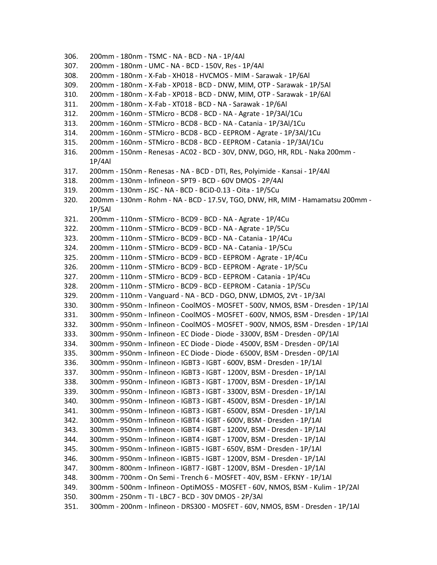306. 200mm - 180nm - TSMC - NA - BCD - NA - 1P/4Al 307. 200mm - 180nm - UMC - NA - BCD - 150V, Res - 1P/4Al 308. 200mm - 180nm - X-Fab - XH018 - HVCMOS - MIM - Sarawak - 1P/6Al 309. 200mm - 180nm - X-Fab - XP018 - BCD - DNW, MIM, OTP - Sarawak - 1P/5Al 310. 200mm - 180nm - X-Fab - XP018 - BCD - DNW, MIM, OTP - Sarawak - 1P/6Al 311. 200mm - 180nm - X-Fab - XT018 - BCD - NA - Sarawak - 1P/6Al 312. 200mm - 160nm - STMicro - BCD8 - BCD - NA - Agrate - 1P/3Al/1Cu 313. 200mm - 160nm - STMicro - BCD8 - BCD - NA - Catania - 1P/3Al/1Cu 314. 200mm - 160nm - STMicro - BCD8 - BCD - EEPROM - Agrate - 1P/3Al/1Cu 315. 200mm - 160nm - STMicro - BCD8 - BCD - EEPROM - Catania - 1P/3Al/1Cu 316. 200mm - 150nm - Renesas - AC02 - BCD - 30V, DNW, DGO, HR, RDL - Naka 200mm - 1P/4Al 317. 200mm - 150nm - Renesas - NA - BCD - DTI, Res, Polyimide - Kansai - 1P/4Al 318. 200mm - 130nm - Infineon - SPT9 - BCD - 60V DMOS - 2P/4Al 319. 200mm - 130nm - JSC - NA - BCD - BCiD-0.13 - Oita - 1P/5Cu 320. 200mm - 130nm - Rohm - NA - BCD - 17.5V, TGO, DNW, HR, MIM - Hamamatsu 200mm - 1P/5Al 321. 200mm - 110nm - STMicro - BCD9 - BCD - NA - Agrate - 1P/4Cu 322. 200mm - 110nm - STMicro - BCD9 - BCD - NA - Agrate - 1P/5Cu 323. 200mm - 110nm - STMicro - BCD9 - BCD - NA - Catania - 1P/4Cu 324. 200mm - 110nm - STMicro - BCD9 - BCD - NA - Catania - 1P/5Cu 325. 200mm - 110nm - STMicro - BCD9 - BCD - EEPROM - Agrate - 1P/4Cu 326. 200mm - 110nm - STMicro - BCD9 - BCD - EEPROM - Agrate - 1P/5Cu 327. 200mm - 110nm - STMicro - BCD9 - BCD - EEPROM - Catania - 1P/4Cu 328. 200mm - 110nm - STMicro - BCD9 - BCD - EEPROM - Catania - 1P/5Cu 329. 200mm - 110nm - Vanguard - NA - BCD - DGO, DNW, LDMOS, 2Vt - 1P/3Al 330. 300mm - 950nm - Infineon - CoolMOS - MOSFET - 500V, NMOS, BSM - Dresden - 1P/1Al 331. 300mm - 950nm - Infineon - CoolMOS - MOSFET - 600V, NMOS, BSM - Dresden - 1P/1Al 332. 300mm - 950nm - Infineon - CoolMOS - MOSFET - 900V, NMOS, BSM - Dresden - 1P/1Al 333. 300mm - 950nm - Infineon - EC Diode - Diode - 3300V, BSM - Dresden - 0P/1Al 334. 300mm - 950nm - Infineon - EC Diode - Diode - 4500V, BSM - Dresden - 0P/1Al 335. 300mm - 950nm - Infineon - EC Diode - Diode - 6500V, BSM - Dresden - 0P/1Al 336. 300mm - 950nm - Infineon - IGBT3 - IGBT - 600V, BSM - Dresden - 1P/1Al 337. 300mm - 950nm - Infineon - IGBT3 - IGBT - 1200V, BSM - Dresden - 1P/1Al 338. 300mm - 950nm - Infineon - IGBT3 - IGBT - 1700V, BSM - Dresden - 1P/1Al 339. 300mm - 950nm - Infineon - IGBT3 - IGBT - 3300V, BSM - Dresden - 1P/1Al 340. 300mm - 950nm - Infineon - IGBT3 - IGBT - 4500V, BSM - Dresden - 1P/1Al 341. 300mm - 950nm - Infineon - IGBT3 - IGBT - 6500V, BSM - Dresden - 1P/1Al 342. 300mm - 950nm - Infineon - IGBT4 - IGBT - 600V, BSM - Dresden - 1P/1Al 343. 300mm - 950nm - Infineon - IGBT4 - IGBT - 1200V, BSM - Dresden - 1P/1Al 344. 300mm - 950nm - Infineon - IGBT4 - IGBT - 1700V, BSM - Dresden - 1P/1Al 345. 300mm - 950nm - Infineon - IGBT5 - IGBT - 650V, BSM - Dresden - 1P/1Al 346. 300mm - 950nm - Infineon - IGBT5 - IGBT - 1200V, BSM - Dresden - 1P/1Al 347. 300mm - 800nm - Infineon - IGBT7 - IGBT - 1200V, BSM - Dresden - 1P/1Al 348. 300mm - 700nm - On Semi - Trench 6 - MOSFET - 40V, BSM - EFKNY - 1P/1Al 349. 300mm - 500nm - Infineon - OptiMOS5 - MOSFET - 60V, NMOS, BSM - Kulim - 1P/2Al 350. 300mm - 250nm - TI - LBC7 - BCD - 30V DMOS - 2P/3Al 351. 300mm - 200nm - Infineon - DRS300 - MOSFET - 60V, NMOS, BSM - Dresden - 1P/1Al